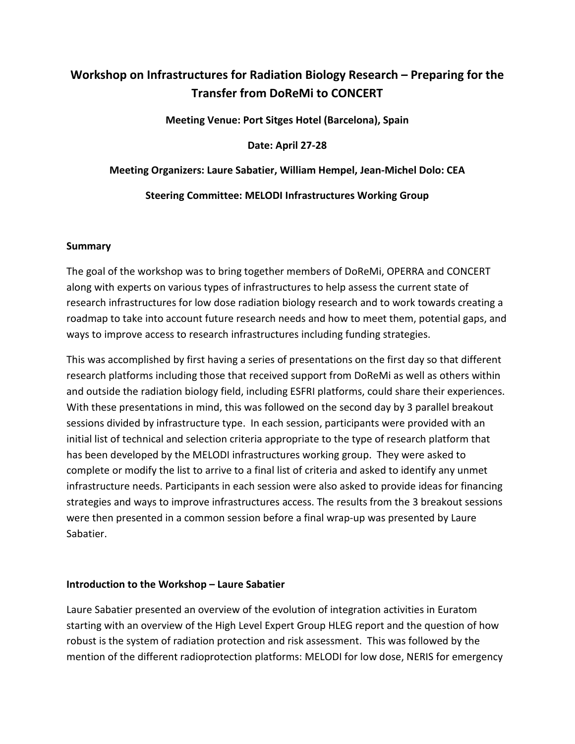# **Workshop on Infrastructures for Radiation Biology Research – Preparing for the Transfer from DoReMi to CONCERT**

**Meeting Venue: Port Sitges Hotel (Barcelona), Spain**

**Date: April 27-28**

### **Meeting Organizers: Laure Sabatier, William Hempel, Jean-Michel Dolo: CEA**

### **Steering Committee: MELODI Infrastructures Working Group**

#### **Summary**

The goal of the workshop was to bring together members of DoReMi, OPERRA and CONCERT along with experts on various types of infrastructures to help assess the current state of research infrastructures for low dose radiation biology research and to work towards creating a roadmap to take into account future research needs and how to meet them, potential gaps, and ways to improve access to research infrastructures including funding strategies.

This was accomplished by first having a series of presentations on the first day so that different research platforms including those that received support from DoReMi as well as others within and outside the radiation biology field, including ESFRI platforms, could share their experiences. With these presentations in mind, this was followed on the second day by 3 parallel breakout sessions divided by infrastructure type. In each session, participants were provided with an initial list of technical and selection criteria appropriate to the type of research platform that has been developed by the MELODI infrastructures working group. They were asked to complete or modify the list to arrive to a final list of criteria and asked to identify any unmet infrastructure needs. Participants in each session were also asked to provide ideas for financing strategies and ways to improve infrastructures access. The results from the 3 breakout sessions were then presented in a common session before a final wrap-up was presented by Laure Sabatier.

### **Introduction to the Workshop – Laure Sabatier**

Laure Sabatier presented an overview of the evolution of integration activities in Euratom starting with an overview of the High Level Expert Group HLEG report and the question of how robust is the system of radiation protection and risk assessment. This was followed by the mention of the different radioprotection platforms: MELODI for low dose, NERIS for emergency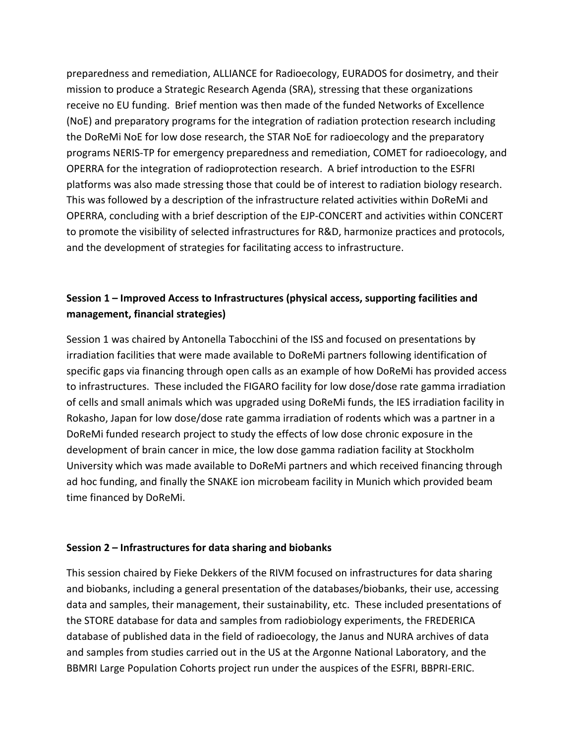preparedness and remediation, ALLIANCE for Radioecology, EURADOS for dosimetry, and their mission to produce a Strategic Research Agenda (SRA), stressing that these organizations receive no EU funding. Brief mention was then made of the funded Networks of Excellence (NoE) and preparatory programs for the integration of radiation protection research including the DoReMi NoE for low dose research, the STAR NoE for radioecology and the preparatory programs NERIS-TP for emergency preparedness and remediation, COMET for radioecology, and OPERRA for the integration of radioprotection research. A brief introduction to the ESFRI platforms was also made stressing those that could be of interest to radiation biology research. This was followed by a description of the infrastructure related activities within DoReMi and OPERRA, concluding with a brief description of the EJP-CONCERT and activities within CONCERT to promote the visibility of selected infrastructures for R&D, harmonize practices and protocols, and the development of strategies for facilitating access to infrastructure.

# **Session 1 – Improved Access to Infrastructures (physical access, supporting facilities and management, financial strategies)**

Session 1 was chaired by Antonella Tabocchini of the ISS and focused on presentations by irradiation facilities that were made available to DoReMi partners following identification of specific gaps via financing through open calls as an example of how DoReMi has provided access to infrastructures. These included the FIGARO facility for low dose/dose rate gamma irradiation of cells and small animals which was upgraded using DoReMi funds, the IES irradiation facility in Rokasho, Japan for low dose/dose rate gamma irradiation of rodents which was a partner in a DoReMi funded research project to study the effects of low dose chronic exposure in the development of brain cancer in mice, the low dose gamma radiation facility at Stockholm University which was made available to DoReMi partners and which received financing through ad hoc funding, and finally the SNAKE ion microbeam facility in Munich which provided beam time financed by DoReMi.

### **Session 2 – Infrastructures for data sharing and biobanks**

This session chaired by Fieke Dekkers of the RIVM focused on infrastructures for data sharing and biobanks, including a general presentation of the databases/biobanks, their use, accessing data and samples, their management, their sustainability, etc. These included presentations of the STORE database for data and samples from radiobiology experiments, the FREDERICA database of published data in the field of radioecology, the Janus and NURA archives of data and samples from studies carried out in the US at the Argonne National Laboratory, and the BBMRI Large Population Cohorts project run under the auspices of the ESFRI, BBPRI-ERIC.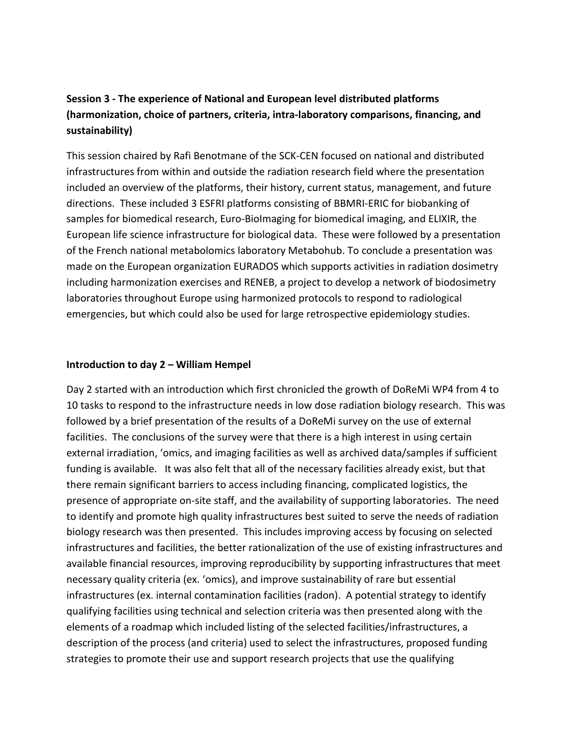# **Session 3 - The experience of National and European level distributed platforms (harmonization, choice of partners, criteria, intra-laboratory comparisons, financing, and sustainability)**

This session chaired by Rafi Benotmane of the SCK-CEN focused on national and distributed infrastructures from within and outside the radiation research field where the presentation included an overview of the platforms, their history, current status, management, and future directions. These included 3 ESFRI platforms consisting of BBMRI-ERIC for biobanking of samples for biomedical research, Euro-BioImaging for biomedical imaging, and ELIXIR, the European life science infrastructure for biological data. These were followed by a presentation of the French national metabolomics laboratory Metabohub. To conclude a presentation was made on the European organization EURADOS which supports activities in radiation dosimetry including harmonization exercises and RENEB, a project to develop a network of biodosimetry laboratories throughout Europe using harmonized protocols to respond to radiological emergencies, but which could also be used for large retrospective epidemiology studies.

#### **Introduction to day 2 – William Hempel**

Day 2 started with an introduction which first chronicled the growth of DoReMi WP4 from 4 to 10 tasks to respond to the infrastructure needs in low dose radiation biology research. This was followed by a brief presentation of the results of a DoReMi survey on the use of external facilities. The conclusions of the survey were that there is a high interest in using certain external irradiation, 'omics, and imaging facilities as well as archived data/samples if sufficient funding is available. It was also felt that all of the necessary facilities already exist, but that there remain significant barriers to access including financing, complicated logistics, the presence of appropriate on-site staff, and the availability of supporting laboratories. The need to identify and promote high quality infrastructures best suited to serve the needs of radiation biology research was then presented. This includes improving access by focusing on selected infrastructures and facilities, the better rationalization of the use of existing infrastructures and available financial resources, improving reproducibility by supporting infrastructures that meet necessary quality criteria (ex. 'omics), and improve sustainability of rare but essential infrastructures (ex. internal contamination facilities (radon). A potential strategy to identify qualifying facilities using technical and selection criteria was then presented along with the elements of a roadmap which included listing of the selected facilities/infrastructures, a description of the process (and criteria) used to select the infrastructures, proposed funding strategies to promote their use and support research projects that use the qualifying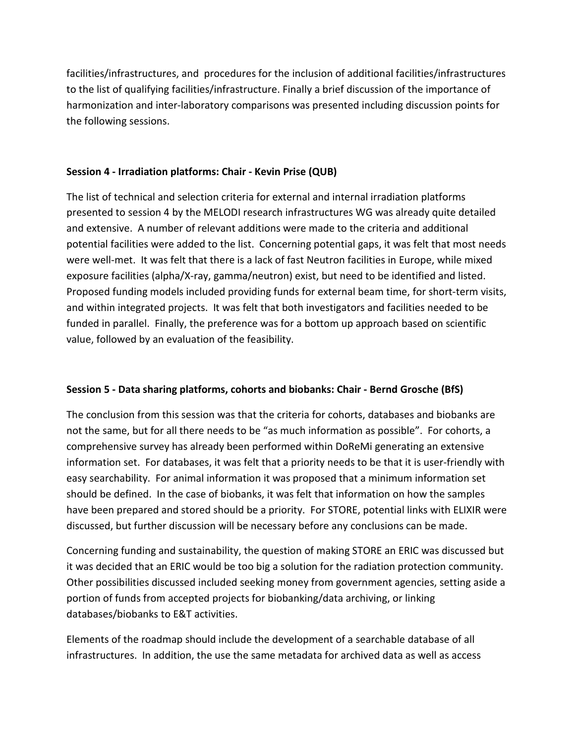facilities/infrastructures, and procedures for the inclusion of additional facilities/infrastructures to the list of qualifying facilities/infrastructure. Finally a brief discussion of the importance of harmonization and inter-laboratory comparisons was presented including discussion points for the following sessions.

### **Session 4 - Irradiation platforms: Chair - Kevin Prise (QUB)**

The list of technical and selection criteria for external and internal irradiation platforms presented to session 4 by the MELODI research infrastructures WG was already quite detailed and extensive. A number of relevant additions were made to the criteria and additional potential facilities were added to the list. Concerning potential gaps, it was felt that most needs were well-met. It was felt that there is a lack of fast Neutron facilities in Europe, while mixed exposure facilities (alpha/X-ray, gamma/neutron) exist, but need to be identified and listed. Proposed funding models included providing funds for external beam time, for short-term visits, and within integrated projects. It was felt that both investigators and facilities needed to be funded in parallel. Finally, the preference was for a bottom up approach based on scientific value, followed by an evaluation of the feasibility.

# **Session 5 - Data sharing platforms, cohorts and biobanks: Chair - Bernd Grosche (BfS)**

The conclusion from this session was that the criteria for cohorts, databases and biobanks are not the same, but for all there needs to be "as much information as possible". For cohorts, a comprehensive survey has already been performed within DoReMi generating an extensive information set. For databases, it was felt that a priority needs to be that it is user-friendly with easy searchability. For animal information it was proposed that a minimum information set should be defined. In the case of biobanks, it was felt that information on how the samples have been prepared and stored should be a priority. For STORE, potential links with ELIXIR were discussed, but further discussion will be necessary before any conclusions can be made.

Concerning funding and sustainability, the question of making STORE an ERIC was discussed but it was decided that an ERIC would be too big a solution for the radiation protection community. Other possibilities discussed included seeking money from government agencies, setting aside a portion of funds from accepted projects for biobanking/data archiving, or linking databases/biobanks to E&T activities.

Elements of the roadmap should include the development of a searchable database of all infrastructures. In addition, the use the same metadata for archived data as well as access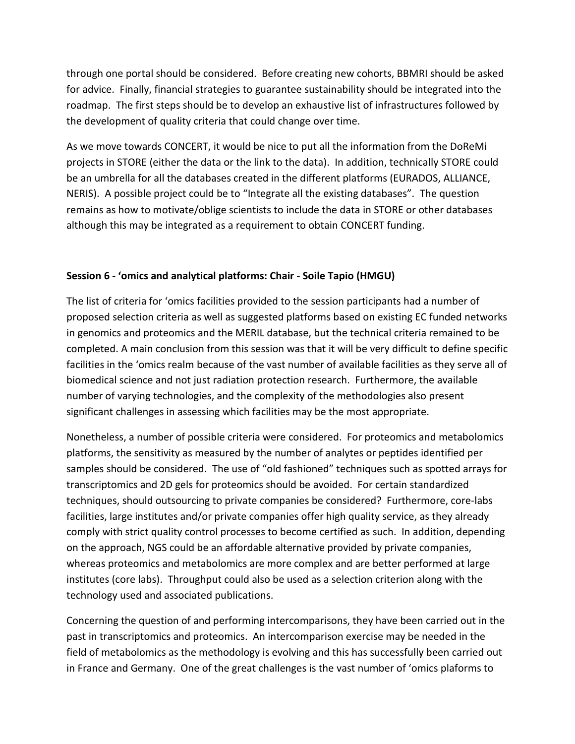through one portal should be considered. Before creating new cohorts, BBMRI should be asked for advice. Finally, financial strategies to guarantee sustainability should be integrated into the roadmap. The first steps should be to develop an exhaustive list of infrastructures followed by the development of quality criteria that could change over time.

As we move towards CONCERT, it would be nice to put all the information from the DoReMi projects in STORE (either the data or the link to the data). In addition, technically STORE could be an umbrella for all the databases created in the different platforms (EURADOS, ALLIANCE, NERIS). A possible project could be to "Integrate all the existing databases". The question remains as how to motivate/oblige scientists to include the data in STORE or other databases although this may be integrated as a requirement to obtain CONCERT funding.

### **Session 6 - 'omics and analytical platforms: Chair - Soile Tapio (HMGU)**

The list of criteria for 'omics facilities provided to the session participants had a number of proposed selection criteria as well as suggested platforms based on existing EC funded networks in genomics and proteomics and the MERIL database, but the technical criteria remained to be completed. A main conclusion from this session was that it will be very difficult to define specific facilities in the 'omics realm because of the vast number of available facilities as they serve all of biomedical science and not just radiation protection research. Furthermore, the available number of varying technologies, and the complexity of the methodologies also present significant challenges in assessing which facilities may be the most appropriate.

Nonetheless, a number of possible criteria were considered. For proteomics and metabolomics platforms, the sensitivity as measured by the number of analytes or peptides identified per samples should be considered. The use of "old fashioned" techniques such as spotted arrays for transcriptomics and 2D gels for proteomics should be avoided. For certain standardized techniques, should outsourcing to private companies be considered? Furthermore, core-labs facilities, large institutes and/or private companies offer high quality service, as they already comply with strict quality control processes to become certified as such. In addition, depending on the approach, NGS could be an affordable alternative provided by private companies, whereas proteomics and metabolomics are more complex and are better performed at large institutes (core labs). Throughput could also be used as a selection criterion along with the technology used and associated publications.

Concerning the question of and performing intercomparisons, they have been carried out in the past in transcriptomics and proteomics. An intercomparison exercise may be needed in the field of metabolomics as the methodology is evolving and this has successfully been carried out in France and Germany. One of the great challenges is the vast number of 'omics plaforms to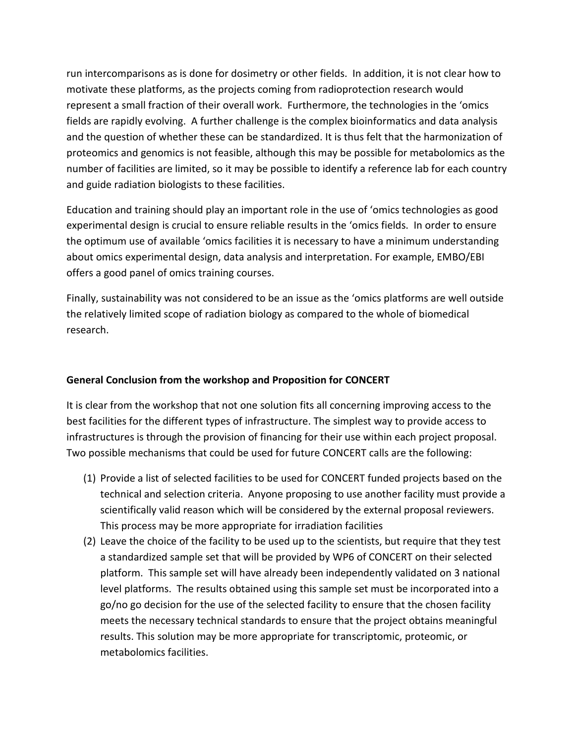run intercomparisons as is done for dosimetry or other fields. In addition, it is not clear how to motivate these platforms, as the projects coming from radioprotection research would represent a small fraction of their overall work. Furthermore, the technologies in the 'omics fields are rapidly evolving. A further challenge is the complex bioinformatics and data analysis and the question of whether these can be standardized. It is thus felt that the harmonization of proteomics and genomics is not feasible, although this may be possible for metabolomics as the number of facilities are limited, so it may be possible to identify a reference lab for each country and guide radiation biologists to these facilities.

Education and training should play an important role in the use of 'omics technologies as good experimental design is crucial to ensure reliable results in the 'omics fields. In order to ensure the optimum use of available 'omics facilities it is necessary to have a minimum understanding about omics experimental design, data analysis and interpretation. For example, EMBO/EBI offers a good panel of omics training courses.

Finally, sustainability was not considered to be an issue as the 'omics platforms are well outside the relatively limited scope of radiation biology as compared to the whole of biomedical research.

### **General Conclusion from the workshop and Proposition for CONCERT**

It is clear from the workshop that not one solution fits all concerning improving access to the best facilities for the different types of infrastructure. The simplest way to provide access to infrastructures is through the provision of financing for their use within each project proposal. Two possible mechanisms that could be used for future CONCERT calls are the following:

- (1) Provide a list of selected facilities to be used for CONCERT funded projects based on the technical and selection criteria. Anyone proposing to use another facility must provide a scientifically valid reason which will be considered by the external proposal reviewers. This process may be more appropriate for irradiation facilities
- (2) Leave the choice of the facility to be used up to the scientists, but require that they test a standardized sample set that will be provided by WP6 of CONCERT on their selected platform. This sample set will have already been independently validated on 3 national level platforms. The results obtained using this sample set must be incorporated into a go/no go decision for the use of the selected facility to ensure that the chosen facility meets the necessary technical standards to ensure that the project obtains meaningful results. This solution may be more appropriate for transcriptomic, proteomic, or metabolomics facilities.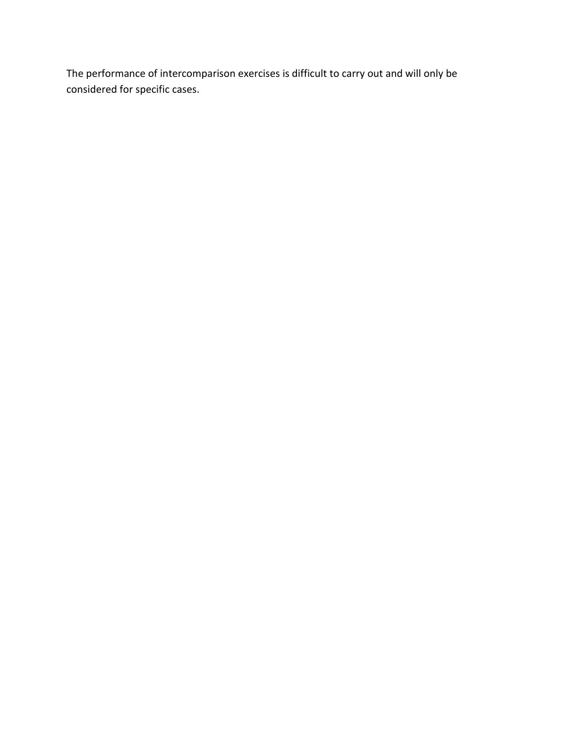The performance of intercomparison exercises is difficult to carry out and will only be considered for specific cases.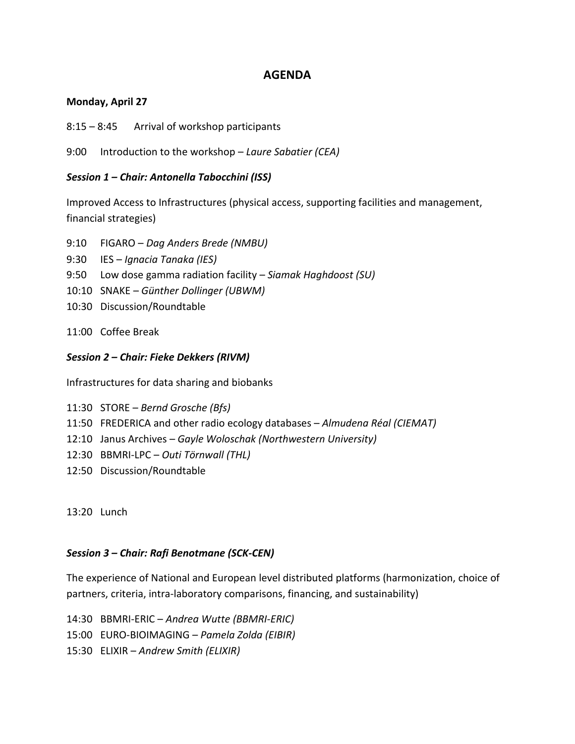## **AGENDA**

### **Monday, April 27**

8:15 – 8:45 Arrival of workshop participants

9:00 Introduction to the workshop – *Laure Sabatier (CEA)*

### *Session 1 – Chair: Antonella Tabocchini (ISS)*

Improved Access to Infrastructures (physical access, supporting facilities and management, financial strategies)

- 9:10 FIGARO *Dag Anders Brede (NMBU)*
- 9:30 IES *Ignacia Tanaka (IES)*
- 9:50 Low dose gamma radiation facility *Siamak Haghdoost (SU)*
- 10:10 SNAKE *Günther Dollinger (UBWM)*
- 10:30 Discussion/Roundtable
- 11:00 Coffee Break

## *Session 2 – Chair: Fieke Dekkers (RIVM)*

Infrastructures for data sharing and biobanks

- 11:30 STORE *Bernd Grosche (Bfs)*
- 11:50 FREDERICA and other radio ecology databases *Almudena Réal (CIEMAT)*
- 12:10 Janus Archives *Gayle Woloschak (Northwestern University)*
- 12:30 BBMRI-LPC *Outi Törnwall (THL)*
- 12:50 Discussion/Roundtable

13:20 Lunch

### *Session 3 – Chair: Rafi Benotmane (SCK-CEN)*

The experience of National and European level distributed platforms (harmonization, choice of partners, criteria, intra-laboratory comparisons, financing, and sustainability)

- 14:30 BBMRI-ERIC *Andrea Wutte (BBMRI-ERIC)*
- 15:00 EURO-BIOIMAGING *– Pamela Zolda (EIBIR)*
- 15:30 ELIXIR *Andrew Smith (ELIXIR)*